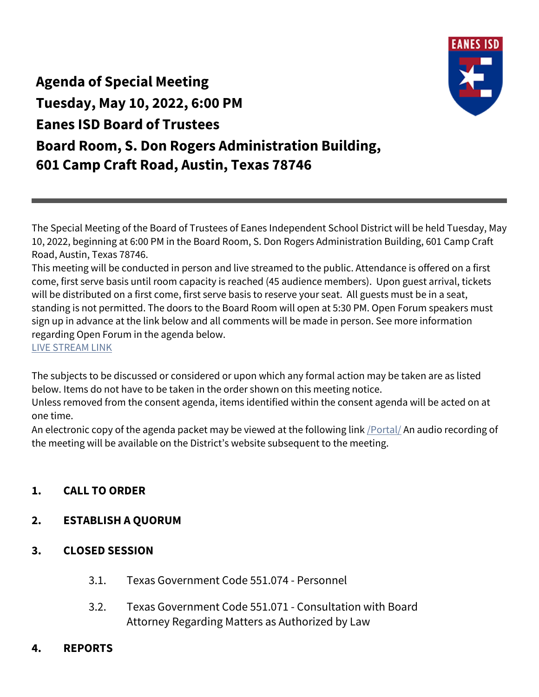

**Agenda of Special Meeting Tuesday, May 10, 2022, 6:00 PM Eanes ISD Board of Trustees Board Room, S. Don Rogers Administration Building, 601 Camp Craft Road, Austin, Texas 78746**

The Special Meeting of the Board of Trustees of Eanes Independent School District will be held Tuesday, May 10, 2022, beginning at 6:00 PM in the Board Room, S. Don Rogers Administration Building, 601 Camp Craft Road, Austin, Texas 78746.

This meeting will be conducted in person and live streamed to the public. Attendance is offered on a first come, first serve basis until room capacity is reached (45 audience members). Upon guest arrival, tickets will be distributed on a first come, first serve basis to reserve your seat. All guests must be in a seat, standing is not permitted. The doors to the Board Room will open at 5:30 PM. Open Forum speakers must sign up in advance at the link below and all comments will be made in person. See more information regarding Open Forum in the agenda below.

[LIVE STREAM LINK](http://www.eanesisd.net/board/live)

The subjects to be discussed or considered or upon which any formal action may be taken are as listed below. Items do not have to be taken in the order shown on this meeting notice.

Unless removed from the consent agenda, items identified within the consent agenda will be acted on at one time.

An electronic copy of the agenda packet may be viewed at the following link *[Portal]* An audio recording of the meeting will be available on the District's website subsequent to the meeting.

## **1. CALL TO ORDER**

## **2. ESTABLISH A QUORUM**

- **3. CLOSED SESSION**
	- 3.1. Texas Government Code 551.074 Personnel
	- 3.2. Texas Government Code 551.071 Consultation with Board Attorney Regarding Matters as Authorized by Law
- **4. REPORTS**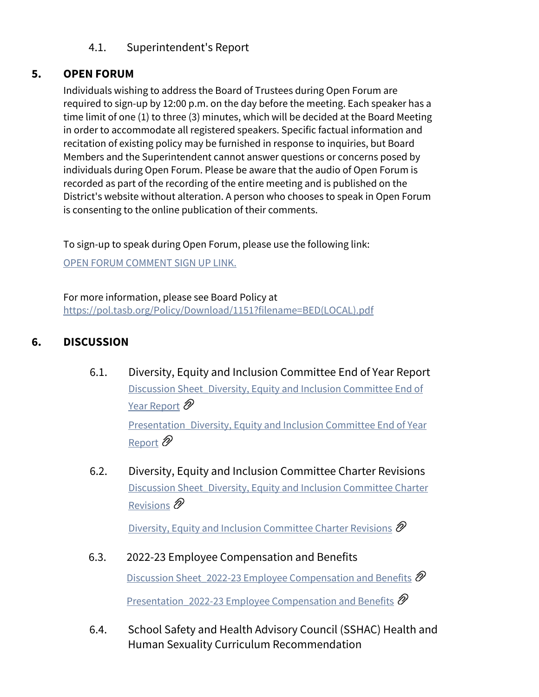### 4.1. Superintendent's Report

### **5. OPEN FORUM**

Individuals wishing to address the Board of Trustees during Open Forum are required to sign-up by 12:00 p.m. on the day before the meeting. Each speaker has a time limit of one (1) to three (3) minutes, which will be decided at the Board Meeting in order to accommodate all registered speakers. Specific factual information and recitation of existing policy may be furnished in response to inquiries, but Board Members and the Superintendent cannot answer questions or concerns posed by individuals during Open Forum. Please be aware that the audio of Open Forum is recorded as part of the recording of the entire meeting and is published on the District's website without alteration. A person who chooses to speak in Open Forum is consenting to the online publication of their comments.

To sign-up to speak during Open Forum, please use the following link:

[OPEN FORUM COMMENT SIGN UP LINK.](https://forms.gle/H7YeJ9JgTPQc97fbA)

For more information, please see Board Policy at [https://pol.tasb.org/Policy/Download/1151?filename=BED\(LOCAL\).pdf](https://pol.tasb.org/Policy/Download/1151?filename=BED(LOCAL).pdf)

## **6. DISCUSSION**

- 6.1. Diversity, Equity and Inclusion Committee End of Year Report [Discussion Sheet\\_Diversity, Equity and Inclusion Committee End of](https://eanesisd.communitybydiligent.com/document/ac747c61-9315-4579-8ad4-d493bfe71877)  [Year Report](https://eanesisd.communitybydiligent.com/document/ac747c61-9315-4579-8ad4-d493bfe71877)  $\mathscr{D}$ Presentation\_Diversity, Equity and Inclusion Committee End of Year [Report](https://eanesisd.communitybydiligent.com/document/3e5ada2a-579f-4fd7-be03-d03ef85ec1fd)  $\mathscr{D}$
- 6.2. Diversity, Equity and Inclusion Committee Charter Revisions [Discussion Sheet\\_Diversity, Equity and Inclusion Committee Charter](https://eanesisd.communitybydiligent.com/document/b9db5e1a-f146-4711-a8d8-cbd9302ee511)  [Revisions](https://eanesisd.communitybydiligent.com/document/b9db5e1a-f146-4711-a8d8-cbd9302ee511)  $\mathscr{D}$

[Diversity, Equity and Inclusion Committee Charter Revisions](https://eanesisd.communitybydiligent.com/document/c4b6bed5-980e-41ac-8f91-c7d23f35cfe2)  $\mathscr D$ 

- 6.3. 2022-23 Employee Compensation and Benefits Discussion Sheet 2022-23 Employee Compensation and Benefits  $\mathscr{D}$ [Presentation\\_2022-23 Employee Compensation and Benefits](https://eanesisd.communitybydiligent.com/document/decea3ac-dd72-4774-9305-de413d09ca76)  $\mathscr D$
- 6.4. School Safety and Health Advisory Council (SSHAC) Health and Human Sexuality Curriculum Recommendation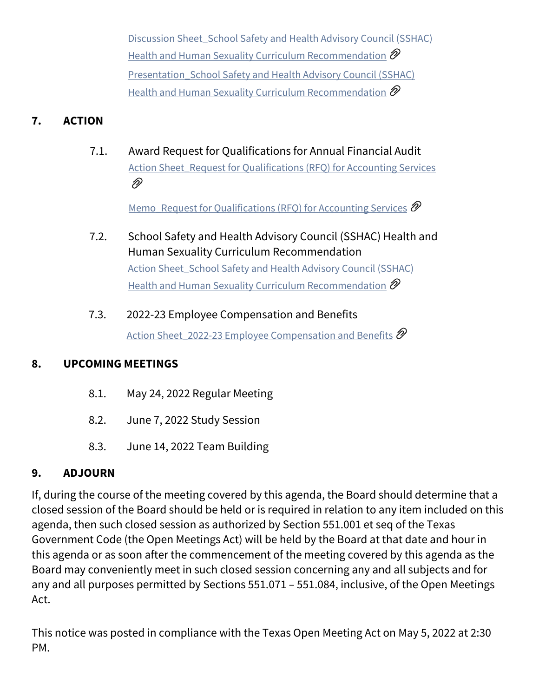[Discussion Sheet\\_School Safety and Health Advisory Council \(SSHAC\)](https://eanesisd.communitybydiligent.com/document/c5491362-ff06-4ab8-82e1-dd907862600e)  [Health and Human Sexuality Curriculum Recommendation](https://eanesisd.communitybydiligent.com/document/c5491362-ff06-4ab8-82e1-dd907862600e)  $\mathscr D$ Presentation School Safety and Health Advisory Council (SSHAC) [Health and Human Sexuality Curriculum Recommendation](https://eanesisd.communitybydiligent.com/document/761c8cc7-9b8a-48a7-9209-f22dc0d29d14)  $\mathscr{D}$ 

# **7. ACTION**

7.1. Award Request for Qualifications for Annual Financial Audit Action Sheet Request for Qualifications (RFQ) for Accounting Services D)

[Memo\\_Request for Qualifications \(RFQ\) for Accounting Services](https://eanesisd.communitybydiligent.com/document/fc91e3af-aff7-4000-85b8-8612f9f0ab6e)  $\mathscr D$ 

- 7.2. School Safety and Health Advisory Council (SSHAC) Health and Human Sexuality Curriculum Recommendation Action Sheet School Safety and Health Advisory Council (SSHAC) [Health and Human Sexuality Curriculum Recommendation](https://eanesisd.communitybydiligent.com/document/55f1cda4-37cd-4458-8c08-fee79abd698d)  $\mathscr D$
- 7.3. 2022-23 Employee Compensation and Benefits Action Sheet 2022-23 Employee Compensation and Benefits  $\mathscr{D}$

## **8. UPCOMING MEETINGS**

- 8.1. May 24, 2022 Regular Meeting
- 8.2. June 7, 2022 Study Session
- 8.3. June 14, 2022 Team Building

## **9. ADJOURN**

If, during the course of the meeting covered by this agenda, the Board should determine that a closed session of the Board should be held or is required in relation to any item included on this agenda, then such closed session as authorized by Section 551.001 et seq of the Texas Government Code (the Open Meetings Act) will be held by the Board at that date and hour in this agenda or as soon after the commencement of the meeting covered by this agenda as the Board may conveniently meet in such closed session concerning any and all subjects and for any and all purposes permitted by Sections 551.071 – 551.084, inclusive, of the Open Meetings Act.

This notice was posted in compliance with the Texas Open Meeting Act on May 5, 2022 at 2:30 PM.